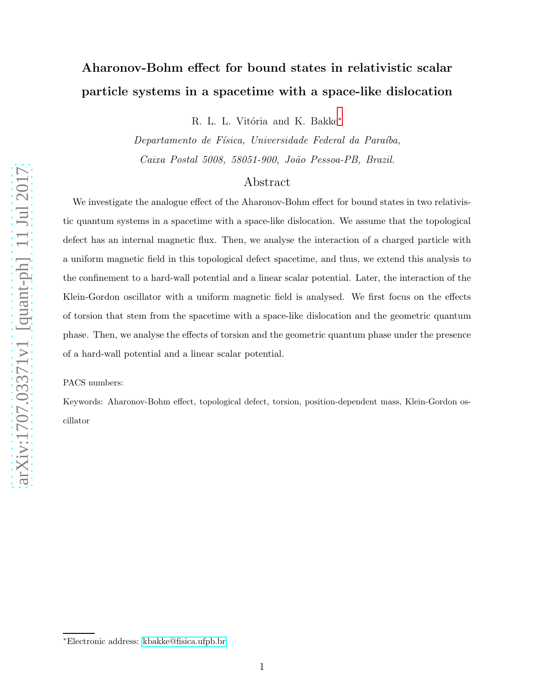# Aharonov-Bohm effect for bound states in relativistic scalar particle systems in a spacetime with a space-like dislocation

R. L. L. Vitória and K. Bakke<sup>\*</sup>

Departamento de Física, Universidade Federal da Paraíba, Caixa Postal 5008, 58051-900, João Pessoa-PB, Brazil.

### Abstract

We investigate the analogue effect of the Aharonov-Bohm effect for bound states in two relativistic quantum systems in a spacetime with a space-like dislocation. We assume that the topological defect has an internal magnetic flux. Then, we analyse the interaction of a charged particle with a uniform magnetic field in this topological defect spacetime, and thus, we extend this analysis to the confinement to a hard-wall potential and a linear scalar potential. Later, the interaction of the Klein-Gordon oscillator with a uniform magnetic field is analysed. We first focus on the effects of torsion that stem from the spacetime with a space-like dislocation and the geometric quantum phase. Then, we analyse the effects of torsion and the geometric quantum phase under the presence of a hard-wall potential and a linear scalar potential.

PACS numbers:

Keywords: Aharonov-Bohm effect, topological defect, torsion, position-dependent mass, Klein-Gordon oscillator

<span id="page-0-0"></span><sup>∗</sup>Electronic address: [kbakke@fisica.ufpb.br](mailto:kbakke@fisica.ufpb.br)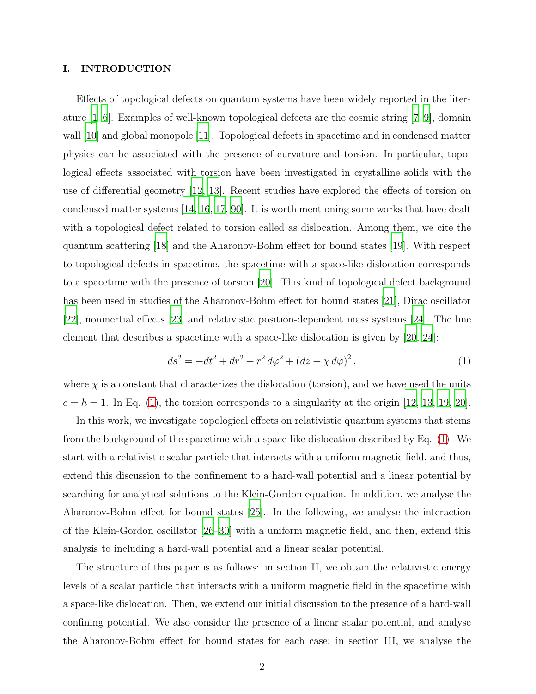### I. INTRODUCTION

Effects of topological defects on quantum systems have been widely reported in the literature [\[1](#page-15-0)[–6](#page-15-1)]. Examples of well-known topological defects are the cosmic string [\[7](#page-15-2)[–9](#page-15-3)], domain wall [\[10](#page-15-4)] and global monopole [\[11](#page-15-5)]. Topological defects in spacetime and in condensed matter physics can be associated with the presence of curvature and torsion. In particular, topological effects associated with torsion have been investigated in crystalline solids with the use of differential geometry [\[12](#page-15-6), [13\]](#page-15-7). Recent studies have explored the effects of torsion on condensed matter systems [\[14,](#page-15-8) [16,](#page-15-9) [17,](#page-15-10) [90\]](#page-18-0). It is worth mentioning some works that have dealt with a topological defect related to torsion called as dislocation. Among them, we cite the quantum scattering [\[18](#page-15-11)] and the Aharonov-Bohm effect for bound states [\[19](#page-15-12)]. With respect to topological defects in spacetime, the spacetime with a space-like dislocation corresponds to a spacetime with the presence of torsion [\[20\]](#page-16-0). This kind of topological defect background has been used in studies of the Aharonov-Bohm effect for bound states [\[21\]](#page-16-1), Dirac oscillator [\[22\]](#page-16-2), noninertial effects [\[23](#page-16-3)] and relativistic position-dependent mass systems [\[24\]](#page-16-4). The line element that describes a spacetime with a space-like dislocation is given by [\[20,](#page-16-0) [24\]](#page-16-4):

<span id="page-1-0"></span>
$$
ds^{2} = -dt^{2} + dr^{2} + r^{2} d\varphi^{2} + (dz + \chi d\varphi)^{2}, \qquad (1)
$$

where  $\chi$  is a constant that characterizes the dislocation (torsion), and we have used the units  $c = \hbar = 1$ . In Eq. [\(1\)](#page-1-0), the torsion corresponds to a singularity at the origin [\[12,](#page-15-6) [13](#page-15-7), [19](#page-15-12), [20\]](#page-16-0).

In this work, we investigate topological effects on relativistic quantum systems that stems from the background of the spacetime with a space-like dislocation described by Eq. [\(1\)](#page-1-0). We start with a relativistic scalar particle that interacts with a uniform magnetic field, and thus, extend this discussion to the confinement to a hard-wall potential and a linear potential by searching for analytical solutions to the Klein-Gordon equation. In addition, we analyse the Aharonov-Bohm effect for bound states [\[25](#page-16-5)]. In the following, we analyse the interaction of the Klein-Gordon oscillator [\[26](#page-16-6)[–30\]](#page-16-7) with a uniform magnetic field, and then, extend this analysis to including a hard-wall potential and a linear scalar potential.

The structure of this paper is as follows: in section II, we obtain the relativistic energy levels of a scalar particle that interacts with a uniform magnetic field in the spacetime with a space-like dislocation. Then, we extend our initial discussion to the presence of a hard-wall confining potential. We also consider the presence of a linear scalar potential, and analyse the Aharonov-Bohm effect for bound states for each case; in section III, we analyse the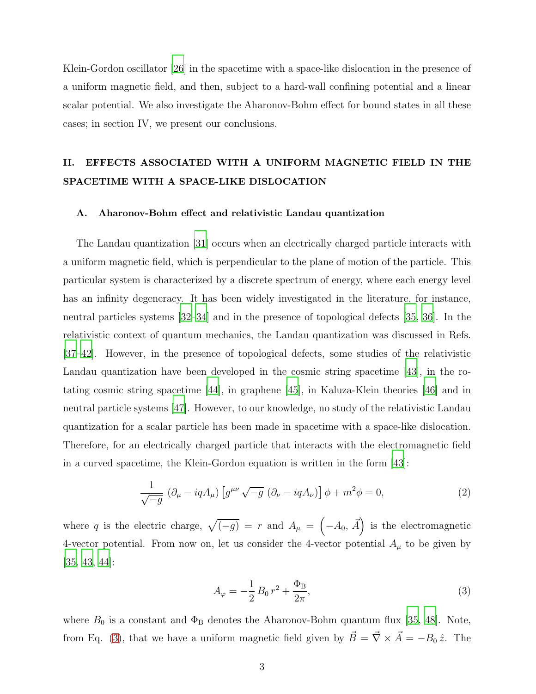Klein-Gordon oscillator [\[26\]](#page-16-6) in the spacetime with a space-like dislocation in the presence of a uniform magnetic field, and then, subject to a hard-wall confining potential and a linear scalar potential. We also investigate the Aharonov-Bohm effect for bound states in all these cases; in section IV, we present our conclusions.

### II. EFFECTS ASSOCIATED WITH A UNIFORM MAGNETIC FIELD IN THE SPACETIME WITH A SPACE-LIKE DISLOCATION

### A. Aharonov-Bohm effect and relativistic Landau quantization

The Landau quantization [\[31](#page-16-8)] occurs when an electrically charged particle interacts with a uniform magnetic field, which is perpendicular to the plane of motion of the particle. This particular system is characterized by a discrete spectrum of energy, where each energy level has an infinity degeneracy. It has been widely investigated in the literature, for instance, neutral particles systems [\[32](#page-16-9)[–34](#page-16-10)] and in the presence of topological defects [\[35](#page-16-11), [36\]](#page-16-12). In the relativistic context of quantum mechanics, the Landau quantization was discussed in Refs. [\[37](#page-16-13)[–42\]](#page-16-14). However, in the presence of topological defects, some studies of the relativistic Landau quantization have been developed in the cosmic string spacetime [\[43](#page-16-15)], in the rotating cosmic string spacetime [\[44](#page-16-16)], in graphene [\[45\]](#page-16-17), in Kaluza-Klein theories [\[46](#page-17-0)] and in neutral particle systems [\[47](#page-17-1)]. However, to our knowledge, no study of the relativistic Landau quantization for a scalar particle has been made in spacetime with a space-like dislocation. Therefore, for an electrically charged particle that interacts with the electromagnetic field in a curved spacetime, the Klein-Gordon equation is written in the form [\[43](#page-16-15)]:

<span id="page-2-1"></span>
$$
\frac{1}{\sqrt{-g}} \left( \partial_{\mu} - iqA_{\mu} \right) \left[ g^{\mu\nu} \sqrt{-g} \left( \partial_{\nu} - iqA_{\nu} \right) \right] \phi + m^2 \phi = 0, \tag{2}
$$

where q is the electric charge,  $\sqrt{(-g)} = r$  and  $A_{\mu} = (-A_0, \vec{A})$  is the electromagnetic 4-vector potential. From now on, let us consider the 4-vector potential  $A_\mu$  to be given by [\[35,](#page-16-11) [43,](#page-16-15) [44\]](#page-16-16):

<span id="page-2-0"></span>
$$
A_{\varphi} = -\frac{1}{2}B_0 r^2 + \frac{\Phi_B}{2\pi},\tag{3}
$$

where  $B_0$  is a constant and  $\Phi_B$  denotes the Aharonov-Bohm quantum flux [\[35,](#page-16-11) [48](#page-17-2)]. Note, from Eq. [\(3\)](#page-2-0), that we have a uniform magnetic field given by  $\vec{B} = \vec{\nabla} \times \vec{A} = -B_0 \hat{z}$ . The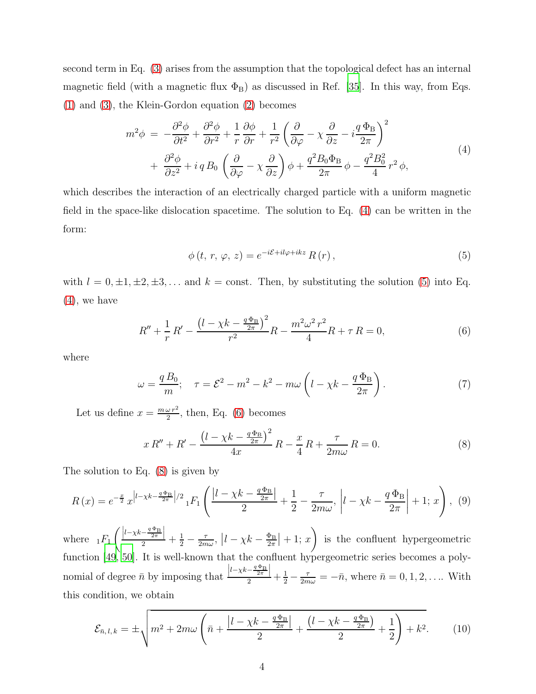second term in Eq. [\(3\)](#page-2-0) arises from the assumption that the topological defect has an internal magnetic field (with a magnetic flux  $\Phi_B$ ) as discussed in Ref. [\[35](#page-16-11)]. In this way, from Eqs. [\(1\)](#page-1-0) and [\(3\)](#page-2-0), the Klein-Gordon equation [\(2\)](#page-2-1) becomes

<span id="page-3-0"></span>
$$
m^{2}\phi = -\frac{\partial^{2}\phi}{\partial t^{2}} + \frac{\partial^{2}\phi}{\partial r^{2}} + \frac{1}{r}\frac{\partial\phi}{\partial r} + \frac{1}{r^{2}}\left(\frac{\partial}{\partial\varphi} - \chi\frac{\partial}{\partial z} - i\frac{q\,\Phi_{B}}{2\pi}\right)^{2} + \frac{\partial^{2}\phi}{\partial z^{2}} + i q B_{0} \left(\frac{\partial}{\partial\varphi} - \chi\frac{\partial}{\partial z}\right)\phi + \frac{q^{2}B_{0}\Phi_{B}}{2\pi}\phi - \frac{q^{2}B_{0}^{2}}{4}r^{2}\phi,
$$
\n(4)

which describes the interaction of an electrically charged particle with a uniform magnetic field in the space-like dislocation spacetime. The solution to Eq. [\(4\)](#page-3-0) can be written in the form:

<span id="page-3-1"></span>
$$
\phi(t, r, \varphi, z) = e^{-i\mathcal{E} + il\varphi + ikz} R(r), \qquad (5)
$$

with  $l = 0, \pm 1, \pm 2, \pm 3, \ldots$  and  $k = \text{const.}$  Then, by substituting the solution [\(5\)](#page-3-1) into Eq. [\(4\)](#page-3-0), we have

<span id="page-3-2"></span>
$$
R'' + \frac{1}{r}R' - \frac{\left(l - \chi k - \frac{q\Phi_B}{2\pi}\right)^2}{r^2}R - \frac{m^2\omega^2r^2}{4}R + \tau R = 0,\tag{6}
$$

where

<span id="page-3-6"></span>
$$
\omega = \frac{q B_0}{m}; \quad \tau = \mathcal{E}^2 - m^2 - k^2 - m\omega \left( l - \chi k - \frac{q \Phi_B}{2\pi} \right). \tag{7}
$$

Let us define  $x = \frac{m\omega r^2}{2}$ , then, Eq. [\(6\)](#page-3-2) becomes

<span id="page-3-3"></span>
$$
x R'' + R' - \frac{\left(l - \chi k - \frac{q\Phi_B}{2\pi}\right)^2}{4x} R - \frac{x}{4} R + \frac{\tau}{2m\omega} R = 0.
$$
 (8)

The solution to Eq. [\(8\)](#page-3-3) is given by

<span id="page-3-5"></span>
$$
R(x) = e^{-\frac{x}{2}} x^{\left|l - \chi k - \frac{q\Phi_B}{2\pi}\right|/2} {}_{1}F_1\left(\frac{\left|l - \chi k - \frac{q\Phi_B}{2\pi}\right|}{2} + \frac{1}{2} - \frac{\tau}{2m\omega}, \left|l - \chi k - \frac{q\Phi_B}{2\pi}\right| + 1; x\right), \tag{9}
$$

where  $_1F_1$  $\left(\frac{\left|l-\chi k-\frac{q\Phi_{\rm B}}{2}\right|}{2}+\frac{1}{2}-\frac{\tau}{2m\omega},\ \left|l-\chi k-\frac{\Phi_{\rm B}}{2\pi}\right|\right.$  $\frac{\Phi_{\rm B}}{2\pi}$  + 1; x) is the confluent hypergeometric function [\[49,](#page-17-3) [50](#page-17-4)]. It is well-known that the confluent hypergeometric series becomes a polynomial of degree  $\bar{n}$  by imposing that  $\frac{|l-\chi k-\frac{q\Phi_{\rm B}}{2r}|}{2}+\frac{1}{2}-\frac{\tau}{2m\omega}=-\bar{n}$ , where  $\bar{n}=0,1,2,...$  With this condition, we obtain

<span id="page-3-4"></span>
$$
\mathcal{E}_{\bar{n},l,k} = \pm \sqrt{m^2 + 2m\omega \left(\bar{n} + \frac{|l - \chi k - \frac{q\Phi_B}{2\pi}|}{2} + \frac{(l - \chi k - \frac{q\Phi_B}{2\pi})}{2} + \frac{1}{2}\right) + k^2}.
$$
 (10)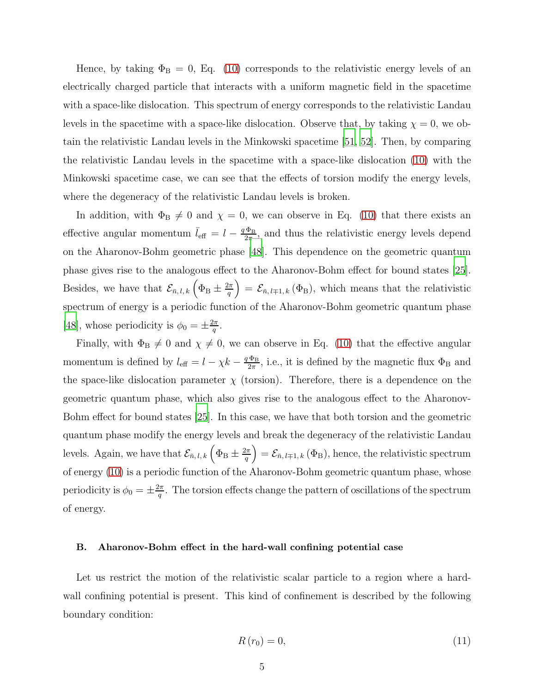Hence, by taking  $\Phi_B = 0$ , Eq. [\(10\)](#page-3-4) corresponds to the relativistic energy levels of an electrically charged particle that interacts with a uniform magnetic field in the spacetime with a space-like dislocation. This spectrum of energy corresponds to the relativistic Landau levels in the spacetime with a space-like dislocation. Observe that, by taking  $\chi = 0$ , we obtain the relativistic Landau levels in the Minkowski spacetime [\[51](#page-17-5), [52\]](#page-17-6). Then, by comparing the relativistic Landau levels in the spacetime with a space-like dislocation [\(10\)](#page-3-4) with the Minkowski spacetime case, we can see that the effects of torsion modify the energy levels, where the degeneracy of the relativistic Landau levels is broken.

In addition, with  $\Phi_B \neq 0$  and  $\chi = 0$ , we can observe in Eq. [\(10\)](#page-3-4) that there exists an effective angular momentum  $\bar{l}_{\text{eff}} = l - \frac{q\Phi_{\text{B}}}{2\pi}$  $\frac{\Phi_{\rm B}}{2\pi}$ , and thus the relativistic energy levels depend on the Aharonov-Bohm geometric phase [\[48](#page-17-2)]. This dependence on the geometric quantum phase gives rise to the analogous effect to the Aharonov-Bohm effect for bound states [\[25\]](#page-16-5). Besides, we have that  $\mathcal{E}_{\bar{n},l,k}$   $\left(\Phi_{\text{B}} \pm \frac{2\pi}{q}\right)$  $\left( \frac{2\pi}{q} \right) = \mathcal{E}_{\bar{n},l\mp 1,k} (\Phi_{\mathrm{B}}),$  which means that the relativistic spectrum of energy is a periodic function of the Aharonov-Bohm geometric quantum phase [\[48\]](#page-17-2), whose periodicity is  $\phi_0 = \pm \frac{2\pi}{q}$  $\frac{2\pi}{q}$  .

Finally, with  $\Phi_B \neq 0$  and  $\chi \neq 0$ , we can observe in Eq. [\(10\)](#page-3-4) that the effective angular momentum is defined by  $l_{\text{eff}} = l - \chi k - \frac{q \Phi_{\text{B}}}{2\pi}$  $\frac{\Phi_{\rm B}}{2\pi}$ , i.e., it is defined by the magnetic flux  $\Phi_{\rm B}$  and the space-like dislocation parameter  $\chi$  (torsion). Therefore, there is a dependence on the geometric quantum phase, which also gives rise to the analogous effect to the Aharonov-Bohm effect for bound states [\[25](#page-16-5)]. In this case, we have that both torsion and the geometric quantum phase modify the energy levels and break the degeneracy of the relativistic Landau levels. Again, we have that  $\mathcal{E}_{\bar{n},l,k}\left(\Phi_{\mathrm{B}}\pm\frac{2\pi}{q}\right)$  $\left(\frac{2\pi}{q}\right) = \mathcal{E}_{\bar{n},l\mp1,k} \left(\Phi_{\mathrm{B}}\right)$ , hence, the relativistic spectrum of energy [\(10\)](#page-3-4) is a periodic function of the Aharonov-Bohm geometric quantum phase, whose periodicity is  $\phi_0 = \pm \frac{2\pi}{q}$  $\frac{d\pi}{q}$ . The torsion effects change the pattern of oscillations of the spectrum of energy.

### B. Aharonov-Bohm effect in the hard-wall confining potential case

Let us restrict the motion of the relativistic scalar particle to a region where a hardwall confining potential is present. This kind of confinement is described by the following boundary condition:

<span id="page-4-0"></span>
$$
R(r_0) = 0,\t(11)
$$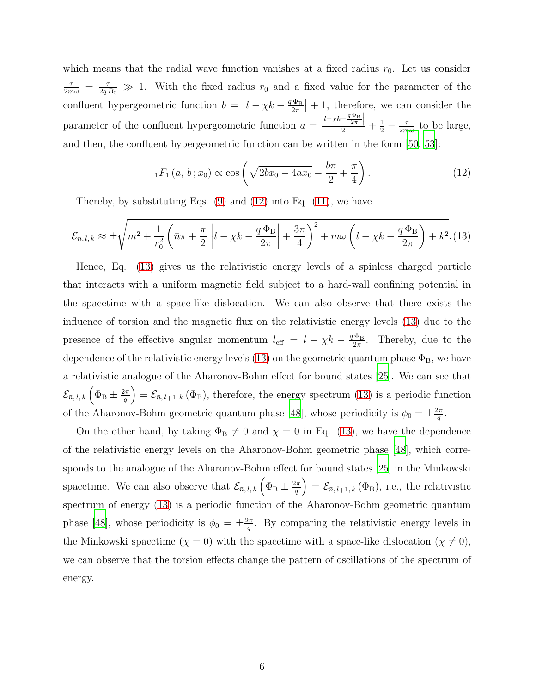which means that the radial wave function vanishes at a fixed radius  $r_0$ . Let us consider  $\frac{\tau}{2m\omega} = \frac{\tau}{2q B_0} \gg 1$ . With the fixed radius  $r_0$  and a fixed value for the parameter of the confluent hypergeometric function  $b = |l - \chi k - \frac{q \Phi_B}{2\pi}|$  $\frac{\Phi_{\rm B}}{2\pi}$  + 1, therefore, we can consider the parameter of the confluent hypergeometric function  $a =$  $\frac{|l-\chi k-\frac{q\Phi_{\rm B}}{2r}|}{2}+\frac{1}{2}-\frac{\tau}{2m\omega}$  to be large, and then, the confluent hypergeometric function can be written in the form [\[50](#page-17-4), [53](#page-17-7)]:

<span id="page-5-0"></span>
$$
{}_1F_1(a, b; x_0) \propto \cos\left(\sqrt{2bx_0 - 4ax_0} - \frac{b\pi}{2} + \frac{\pi}{4}\right).
$$
 (12)

Thereby, by substituting Eqs.  $(9)$  and  $(12)$  into Eq.  $(11)$ , we have

<span id="page-5-1"></span>
$$
\mathcal{E}_{n,l,k} \approx \pm \sqrt{m^2 + \frac{1}{r_0^2} \left( \bar{n}\pi + \frac{\pi}{2} \left| l - \chi k - \frac{q\,\Phi_B}{2\pi} \right| + \frac{3\pi}{4} \right)^2 + m\omega \left( l - \chi k - \frac{q\,\Phi_B}{2\pi} \right) + k^2}.
$$
 (13)

Hence, Eq. [\(13\)](#page-5-1) gives us the relativistic energy levels of a spinless charged particle that interacts with a uniform magnetic field subject to a hard-wall confining potential in the spacetime with a space-like dislocation. We can also observe that there exists the influence of torsion and the magnetic flux on the relativistic energy levels [\(13\)](#page-5-1) due to the presence of the effective angular momentum  $l_{\text{eff}} = l - \chi k - \frac{q \Phi_{\text{B}}}{2\pi}$  $\frac{\Phi_{\rm B}}{2\pi}$ . Thereby, due to the dependence of the relativistic energy levels [\(13\)](#page-5-1) on the geometric quantum phase  $\Phi_{\rm B}$ , we have a relativistic analogue of the Aharonov-Bohm effect for bound states [\[25\]](#page-16-5). We can see that  $\mathcal{L}_{\bar{n},\,l,\,k}$  $\left(\Phi_{\rm B}\pm\frac{2\pi}{q}\right)$  $\left(\frac{2\pi}{q}\right) = \mathcal{E}_{\bar{n},l+1,k}(\Phi_{\mathrm{B}}),$  therefore, the energy spectrum [\(13\)](#page-5-1) is a periodic function of the Aharonov-Bohm geometric quantum phase [\[48\]](#page-17-2), whose periodicity is  $\phi_0 = \pm \frac{2\pi}{q}$  $\frac{2\pi}{q}$  .

On the other hand, by taking  $\Phi_B \neq 0$  and  $\chi = 0$  in Eq. [\(13\)](#page-5-1), we have the dependence of the relativistic energy levels on the Aharonov-Bohm geometric phase [\[48\]](#page-17-2), which corresponds to the analogue of the Aharonov-Bohm effect for bound states [\[25](#page-16-5)] in the Minkowski spacetime. We can also observe that  $\mathcal{E}_{\bar{n},l,k}$   $\left(\Phi_{\text{B}} \pm \frac{2\pi}{q}\right)$  $\left(\frac{2\pi}{q}\right) = \mathcal{E}_{\bar{n},l\mp 1,k}(\Phi_{\mathrm{B}}), \text{ i.e., the relativistic}$ spectrum of energy [\(13\)](#page-5-1) is a periodic function of the Aharonov-Bohm geometric quantum phase [\[48](#page-17-2)], whose periodicity is  $\phi_0 = \pm \frac{2\pi}{q}$  $\frac{2\pi}{q}$ . By comparing the relativistic energy levels in the Minkowski spacetime  $(\chi = 0)$  with the spacetime with a space-like dislocation  $(\chi \neq 0)$ , we can observe that the torsion effects change the pattern of oscillations of the spectrum of energy.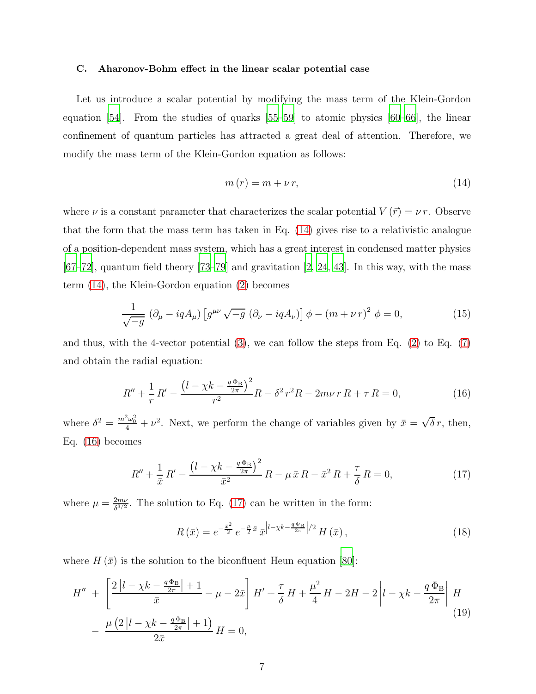#### C. Aharonov-Bohm effect in the linear scalar potential case

Let us introduce a scalar potential by modifying the mass term of the Klein-Gordon equation [\[54\]](#page-17-8). From the studies of quarks [\[55](#page-17-9)[–59\]](#page-17-10) to atomic physics [\[60](#page-17-11)[–66](#page-17-12)], the linear confinement of quantum particles has attracted a great deal of attention. Therefore, we modify the mass term of the Klein-Gordon equation as follows:

<span id="page-6-0"></span>
$$
m(r) = m + \nu r,\tag{14}
$$

where  $\nu$  is a constant parameter that characterizes the scalar potential  $V(\vec{r}) = \nu r$ . Observe that the form that the mass term has taken in Eq. [\(14\)](#page-6-0) gives rise to a relativistic analogue of a position-dependent mass system, which has a great interest in condensed matter physics  $[67–72]$  $[67–72]$ , quantum field theory  $[73–79]$  $[73–79]$  and gravitation  $[2, 24, 43]$  $[2, 24, 43]$  $[2, 24, 43]$  $[2, 24, 43]$ . In this way, with the mass term [\(14\)](#page-6-0), the Klein-Gordon equation [\(2\)](#page-2-1) becomes

$$
\frac{1}{\sqrt{-g}} \left( \partial_{\mu} - iqA_{\mu} \right) \left[ g^{\mu\nu} \sqrt{-g} \left( \partial_{\nu} - iqA_{\nu} \right) \right] \phi - \left( m + \nu r \right)^2 \phi = 0, \tag{15}
$$

and thus, with the 4-vector potential  $(3)$ , we can follow the steps from Eq.  $(2)$  to Eq.  $(7)$ and obtain the radial equation:

<span id="page-6-1"></span>
$$
R'' + \frac{1}{r}R' - \frac{\left(l - \chi k - \frac{q\Phi_B}{2\pi}\right)^2}{r^2}R - \delta^2 r^2 R - 2m\nu\,r\,R + \tau\,R = 0,\tag{16}
$$

where  $\delta^2 = \frac{m^2 \omega_0^2}{4} + \nu^2$ . Next, we perform the change of variables given by  $\bar{x} = \sqrt{\delta} r$ , then, Eq. [\(16\)](#page-6-1) becomes

<span id="page-6-2"></span>
$$
R'' + \frac{1}{\bar{x}} R' - \frac{\left(l - \chi k - \frac{q\Phi_B}{2\pi}\right)^2}{\bar{x}^2} R - \mu \,\bar{x} R - \bar{x}^2 R + \frac{\tau}{\delta} R = 0,\tag{17}
$$

where  $\mu = \frac{2m\nu}{\delta^{3/2}}$  $\frac{2m\nu}{\delta^{3/2}}$ . The solution to Eq. [\(17\)](#page-6-2) can be written in the form:

$$
R\left(\bar{x}\right) = e^{-\frac{\bar{x}^2}{2}} e^{-\frac{\mu}{2}\bar{x}} \bar{x}^{\left|l-\chi k - \frac{q\Phi_B}{2\pi}\right|/2} H\left(\bar{x}\right),\tag{18}
$$

where  $H(\bar{x})$  is the solution to the biconfluent Heun equation [\[80\]](#page-18-4):

<span id="page-6-3"></span>
$$
H'' + \left[ \frac{2|l - \chi k - \frac{q\Phi_B}{2\pi}| + 1}{\bar{x}} - \mu - 2\bar{x} \right] H' + \frac{\tau}{\delta} H + \frac{\mu^2}{4} H - 2H - 2\left| l - \chi k - \frac{q\Phi_B}{2\pi} \right| H
$$
  
- 
$$
\frac{\mu (2|l - \chi k - \frac{q\Phi_B}{2\pi}| + 1)}{2\bar{x}} H = 0,
$$
 (19)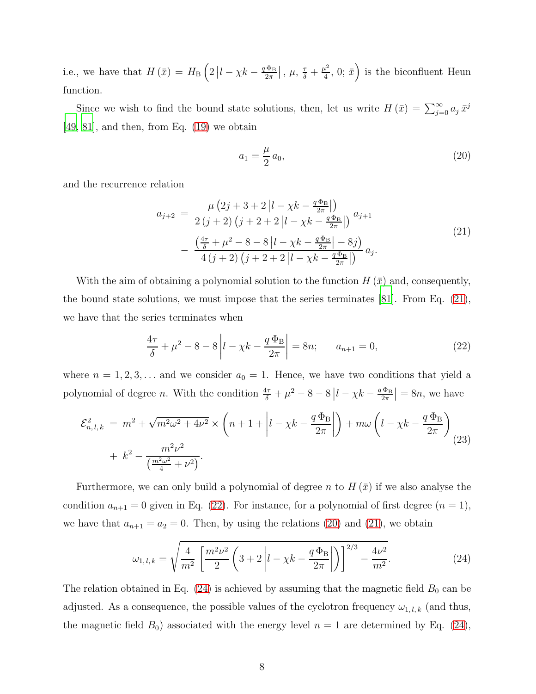i.e., we have that  $H(\bar{x}) = H_{\text{B}}\left(2\left|l - \chi k - \frac{q\Phi_{\text{B}}}{2\pi}\right|\right)$  $\frac{\Phi_{\rm B}}{2\pi}$ ,  $\mu$ ,  $\frac{\tau}{\delta}$  +  $\frac{\mu^2}{4}$  $\left(\frac{u^2}{4}, 0; \bar{x}\right)$  is the biconfluent Heun function.

Since we wish to find the bound state solutions, then, let us write  $H(\bar{x}) = \sum_{j=0}^{\infty} a_j \bar{x}^j$  $[49, 81]$  $[49, 81]$  $[49, 81]$ , and then, from Eq.  $(19)$  we obtain

<span id="page-7-2"></span>
$$
a_1 = \frac{\mu}{2} a_0,\tag{20}
$$

and the recurrence relation

<span id="page-7-0"></span>
$$
a_{j+2} = \frac{\mu (2j + 3 + 2|l - \chi k - \frac{q\Phi_B}{2\pi}|)}{2 (j + 2) (j + 2 + 2|l - \chi k - \frac{q\Phi_B}{2\pi}|)} a_{j+1}
$$
  
 
$$
- \frac{\left(\frac{4\tau}{\delta} + \mu^2 - 8 - 8|l - \chi k - \frac{q\Phi_B}{2\pi}| - 8j\right)}{4 (j + 2) (j + 2 + 2|l - \chi k - \frac{q\Phi_B}{2\pi}|)} a_j.
$$
 (21)

With the aim of obtaining a polynomial solution to the function  $H(\bar{x})$  and, consequently, the bound state solutions, we must impose that the series terminates [\[81](#page-18-5)]. From Eq. [\(21\)](#page-7-0), we have that the series terminates when

<span id="page-7-1"></span>
$$
\frac{4\tau}{\delta} + \mu^2 - 8 - 8\left|l - \chi k - \frac{q\,\Phi_B}{2\pi}\right| = 8n; \qquad a_{n+1} = 0,\tag{22}
$$

where  $n = 1, 2, 3, \ldots$  and we consider  $a_0 = 1$ . Hence, we have two conditions that yield a polynomial of degree *n*. With the condition  $\frac{4\tau}{\delta} + \mu^2 - 8 - 8 \left| l - \chi k - \frac{q \Phi_B}{2\pi} \right|$  $\left|\frac{\Phi_{\rm B}}{2\pi}\right| = 8n$ , we have

<span id="page-7-4"></span>
$$
\mathcal{E}_{n,l,k}^2 = m^2 + \sqrt{m^2 \omega^2 + 4\nu^2} \times \left( n + 1 + \left| l - \chi k - \frac{q \Phi_B}{2\pi} \right| \right) + m\omega \left( l - \chi k - \frac{q \Phi_B}{2\pi} \right) + k^2 - \frac{m^2 \nu^2}{\left( \frac{m^2 \omega^2}{4} + \nu^2 \right)}.
$$
\n(23)

Furthermore, we can only build a polynomial of degree n to  $H(\bar{x})$  if we also analyse the condition  $a_{n+1} = 0$  given in Eq. [\(22\)](#page-7-1). For instance, for a polynomial of first degree  $(n = 1)$ , we have that  $a_{n+1} = a_2 = 0$ . Then, by using the relations [\(20\)](#page-7-2) and [\(21\)](#page-7-0), we obtain

<span id="page-7-3"></span>
$$
\omega_{1,l,k} = \sqrt{\frac{4}{m^2} \left[ \frac{m^2 \nu^2}{2} \left( 3 + 2 \left| l - \chi k - \frac{q \Phi_B}{2\pi} \right| \right) \right]^{2/3} - \frac{4\nu^2}{m^2}}.
$$
(24)

The relation obtained in Eq.  $(24)$  is achieved by assuming that the magnetic field  $B_0$  can be adjusted. As a consequence, the possible values of the cyclotron frequency  $\omega_{1,\,l,\,k}$  (and thus, the magnetic field  $B_0$ ) associated with the energy level  $n = 1$  are determined by Eq. [\(24\)](#page-7-3),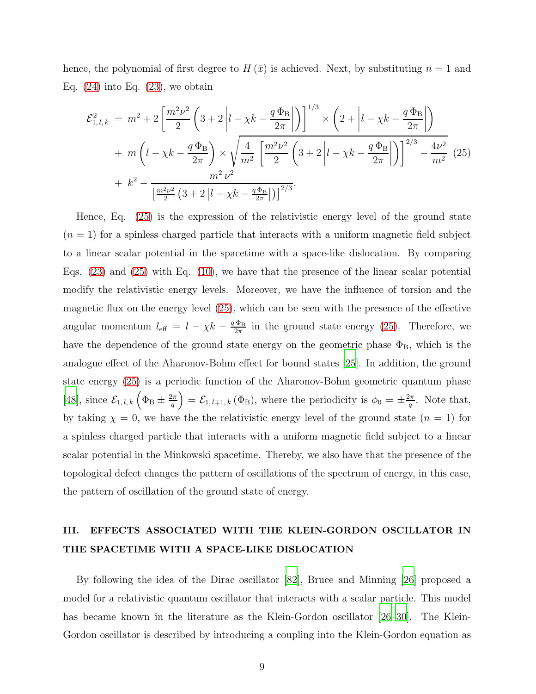hence, the polynomial of first degree to  $H(\bar{x})$  is achieved. Next, by substituting  $n = 1$  and Eq.  $(24)$  into Eq.  $(23)$ , we obtain

<span id="page-8-0"></span>
$$
\mathcal{E}_{1,l,k}^{2} = m^{2} + 2\left[\frac{m^{2}\nu^{2}}{2}\left(3+2\left|l-\chi k-\frac{q\,\Phi_{B}}{2\pi}\right|\right)\right]^{1/3} \times \left(2+\left|l-\chi k-\frac{q\,\Phi_{B}}{2\pi}\right|\right) \n+ m\left(l-\chi k-\frac{q\,\Phi_{B}}{2\pi}\right) \times \sqrt{\frac{4}{m^{2}}\left[\frac{m^{2}\nu^{2}}{2}\left(3+2\left|l-\chi k-\frac{q\,\Phi_{B}}{2\pi}\right|\right)\right]^{2/3} - \frac{4\nu^{2}}{m^{2}}}\right.\n+ k^{2} - \frac{m^{2}\nu^{2}}{\left[\frac{m^{2}\nu^{2}}{2}\left(3+2\left|l-\chi k-\frac{q\,\Phi_{B}}{2\pi}\right|\right)\right]^{2/3}}.
$$
\n(25)

Hence, Eq. [\(25\)](#page-8-0) is the expression of the relativistic energy level of the ground state  $(n = 1)$  for a spinless charged particle that interacts with a uniform magnetic field subject to a linear scalar potential in the spacetime with a space-like dislocation. By comparing Eqs. [\(23\)](#page-7-4) and [\(25\)](#page-8-0) with Eq. [\(10\)](#page-3-4), we have that the presence of the linear scalar potential modify the relativistic energy levels. Moreover, we have the influence of torsion and the magnetic flux on the energy level [\(25\)](#page-8-0), which can be seen with the presence of the effective angular momentum  $l_{\text{eff}} = l - \chi k - \frac{q \Phi_{\text{B}}}{2\pi}$  $\frac{\Phi_{\rm B}}{2\pi}$  in the ground state energy [\(25\)](#page-8-0). Therefore, we have the dependence of the ground state energy on the geometric phase  $\Phi_{\rm B}$ , which is the analogue effect of the Aharonov-Bohm effect for bound states [\[25](#page-16-5)]. In addition, the ground state energy [\(25\)](#page-8-0) is a periodic function of the Aharonov-Bohm geometric quantum phase [\[48\]](#page-17-2), since  $\mathcal{E}_{1,l,k}(\Phi_{\text{B}} \pm \frac{2\pi}{q})$  $\left(\frac{2\pi}{q}\right) = \mathcal{E}_{1, l \mp 1, k} (\Phi_{\text{B}}),$  where the periodicity is  $\phi_0 = \pm \frac{2\pi}{q}$  $\frac{2\pi}{q}$ . Note that, by taking  $\chi = 0$ , we have the relativistic energy level of the ground state  $(n = 1)$  for a spinless charged particle that interacts with a uniform magnetic field subject to a linear scalar potential in the Minkowski spacetime. Thereby, we also have that the presence of the topological defect changes the pattern of oscillations of the spectrum of energy, in this case, the pattern of oscillation of the ground state of energy.

## III. EFFECTS ASSOCIATED WITH THE KLEIN-GORDON OSCILLATOR IN THE SPACETIME WITH A SPACE-LIKE DISLOCATION

By following the idea of the Dirac oscillator [\[82\]](#page-18-6), Bruce and Minning [\[26](#page-16-6)] proposed a model for a relativistic quantum oscillator that interacts with a scalar particle. This model has became known in the literature as the Klein-Gordon oscillator [\[26](#page-16-6)[–30\]](#page-16-7). The Klein-Gordon oscillator is described by introducing a coupling into the Klein-Gordon equation as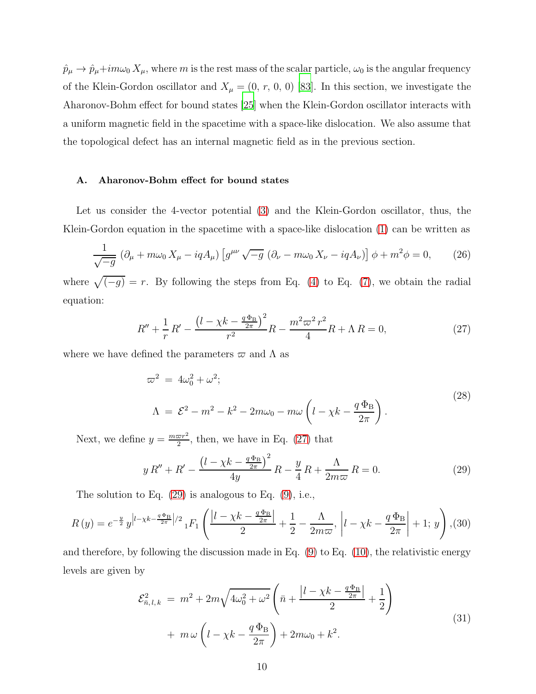$\hat{p}_{\mu} \to \hat{p}_{\mu} + im\omega_0 X_{\mu}$ , where m is the rest mass of the scalar particle,  $\omega_0$  is the angular frequency of the Klein-Gordon oscillator and  $X_{\mu} = (0, r, 0, 0)$  [\[83](#page-18-7)]. In this section, we investigate the Aharonov-Bohm effect for bound states [\[25\]](#page-16-5) when the Klein-Gordon oscillator interacts with a uniform magnetic field in the spacetime with a space-like dislocation. We also assume that the topological defect has an internal magnetic field as in the previous section.

### A. Aharonov-Bohm effect for bound states

Let us consider the 4-vector potential [\(3\)](#page-2-0) and the Klein-Gordon oscillator, thus, the Klein-Gordon equation in the spacetime with a space-like dislocation [\(1\)](#page-1-0) can be written as

$$
\frac{1}{\sqrt{-g}} \left( \partial_{\mu} + m\omega_0 X_{\mu} - iqA_{\mu} \right) \left[ g^{\mu\nu} \sqrt{-g} \left( \partial_{\nu} - m\omega_0 X_{\nu} - iqA_{\nu} \right) \right] \phi + m^2 \phi = 0, \qquad (26)
$$

where  $\sqrt{(-g)} = r$ . By following the steps from Eq. [\(4\)](#page-3-0) to Eq. [\(7\)](#page-3-6), we obtain the radial equation:

<span id="page-9-0"></span>
$$
R'' + \frac{1}{r}R' - \frac{\left(l - \chi k - \frac{q\Phi_B}{2\pi}\right)^2}{r^2}R - \frac{m^2\varpi^2r^2}{4}R + \Lambda R = 0,\tag{27}
$$

where we have defined the parameters  $\varpi$  and  $\Lambda$  as

$$
\omega^2 = 4\omega_0^2 + \omega^2;
$$
  
\n
$$
\Lambda = \mathcal{E}^2 - m^2 - k^2 - 2m\omega_0 - m\omega \left( l - \chi k - \frac{q \Phi_B}{2\pi} \right).
$$
\n(28)

Next, we define  $y = \frac{m\varpi r^2}{2}$ , then, we have in Eq. [\(27\)](#page-9-0) that

<span id="page-9-1"></span>
$$
y R'' + R' - \frac{\left(l - \chi k - \frac{q \Phi_B}{2\pi}\right)^2}{4y} R - \frac{y}{4} R + \frac{\Lambda}{2m\varpi} R = 0.
$$
 (29)

The solution to Eq. [\(29\)](#page-9-1) is analogous to Eq. [\(9\)](#page-3-5), i.e.,

<span id="page-9-3"></span>
$$
R(y) = e^{-\frac{y}{2}} y^{\left|l - \chi k - \frac{q\Phi_{\rm B}}{2\pi}\right|/2} {}_{1}F_{1}\left(\frac{\left|l - \chi k - \frac{q\Phi_{\rm B}}{2\pi}\right|}{2} + \frac{1}{2} - \frac{\Lambda}{2m\varpi}, \left|l - \chi k - \frac{q\Phi_{\rm B}}{2\pi}\right| + 1; y\right),
$$
(30)

and therefore, by following the discussion made in Eq.  $(9)$  to Eq.  $(10)$ , the relativistic energy levels are given by

<span id="page-9-2"></span>
$$
\mathcal{E}_{\bar{n},l,k}^{2} = m^{2} + 2m\sqrt{4\omega_{0}^{2} + \omega^{2}} \left( \bar{n} + \frac{|l - \chi k - \frac{q\Phi_{B}}{2\pi}|}{2} + \frac{1}{2} \right) + m\omega \left( l - \chi k - \frac{q\Phi_{B}}{2\pi} \right) + 2m\omega_{0} + k^{2}.
$$
\n(31)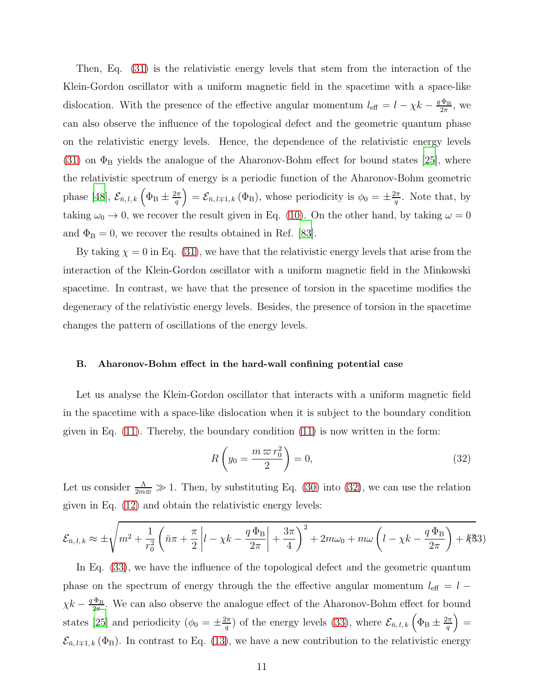Then, Eq. [\(31\)](#page-9-2) is the relativistic energy levels that stem from the interaction of the Klein-Gordon oscillator with a uniform magnetic field in the spacetime with a space-like dislocation. With the presence of the effective angular momentum  $l_{\text{eff}} = l - \chi k - \frac{q \Phi_{\text{B}}}{2\pi}$  $\frac{\Phi_{\rm B}}{2\pi}$ , we can also observe the influence of the topological defect and the geometric quantum phase on the relativistic energy levels. Hence, the dependence of the relativistic energy levels [\(31\)](#page-9-2) on  $\Phi_B$  yields the analogue of the Aharonov-Bohm effect for bound states [\[25](#page-16-5)], where the relativistic spectrum of energy is a periodic function of the Aharonov-Bohm geometric phase [\[48\]](#page-17-2),  $\mathcal{E}_{\bar{n},l,k}$   $\left(\Phi_{\rm B} \pm \frac{2\pi}{q}\right)$  $\left(\frac{2\pi}{q}\right) = \mathcal{E}_{\bar{n},l\mp1,k}(\Phi_{\mathrm{B}}),$  whose periodicity is  $\phi_0 = \pm \frac{2\pi}{q}$  $\frac{2\pi}{q}$ . Note that, by taking  $\omega_0 \to 0$ , we recover the result given in Eq. [\(10\)](#page-3-4). On the other hand, by taking  $\omega = 0$ and  $\Phi_{\rm B}=0$ , we recover the results obtained in Ref. [\[83\]](#page-18-7).

By taking  $\chi = 0$  in Eq. [\(31\)](#page-9-2), we have that the relativistic energy levels that arise from the interaction of the Klein-Gordon oscillator with a uniform magnetic field in the Minkowski spacetime. In contrast, we have that the presence of torsion in the spacetime modifies the degeneracy of the relativistic energy levels. Besides, the presence of torsion in the spacetime changes the pattern of oscillations of the energy levels.

### B. Aharonov-Bohm effect in the hard-wall confining potential case

Let us analyse the Klein-Gordon oscillator that interacts with a uniform magnetic field in the spacetime with a space-like dislocation when it is subject to the boundary condition given in Eq.  $(11)$ . Thereby, the boundary condition  $(11)$  is now written in the form:

<span id="page-10-0"></span>
$$
R\left(y_0 = \frac{m\,\varpi\,r_0^2}{2}\right) = 0,\tag{32}
$$

Let us consider  $\frac{\Lambda}{2m\omega} \gg 1$ . Then, by substituting Eq. [\(30\)](#page-9-3) into [\(32\)](#page-10-0), we can use the relation given in Eq. [\(12\)](#page-5-0) and obtain the relativistic energy levels:

<span id="page-10-1"></span>
$$
\mathcal{E}_{\bar{n},l,k} \approx \pm \sqrt{m^2 + \frac{1}{r_0^2} \left( \bar{n}\pi + \frac{\pi}{2} \left| l - \chi k - \frac{q\,\Phi_B}{2\pi} \right| + \frac{3\pi}{4} \right)^2 + 2m\omega_0 + m\omega \left( l - \chi k - \frac{q\,\Phi_B}{2\pi} \right) + k^2/3}
$$

In Eq. [\(33\)](#page-10-1), we have the influence of the topological defect and the geometric quantum phase on the spectrum of energy through the the effective angular momentum  $l_{\text{eff}} = l \chi k - \frac{q \Phi_B}{2\pi}$  $\frac{\Phi_{\rm B}}{2\pi}$ . We can also observe the analogue effect of the Aharonov-Bohm effect for bound states [\[25\]](#page-16-5) and periodicity  $(\phi_0 = \pm \frac{2\pi}{q})$  $\left(\frac{2\pi}{q}\right)$  of the energy levels [\(33\)](#page-10-1), where  $\mathcal{E}_{\bar{n},l,k}\left(\Phi_{\mathrm{B}}\pm\frac{2\pi}{q}\right)$  $\left(\frac{2\pi}{q}\right) =$  $\mathcal{E}_{\bar{n},l+1,k}(\Phi_{\mathrm{B}})$ . In contrast to Eq. [\(13\)](#page-5-1), we have a new contribution to the relativistic energy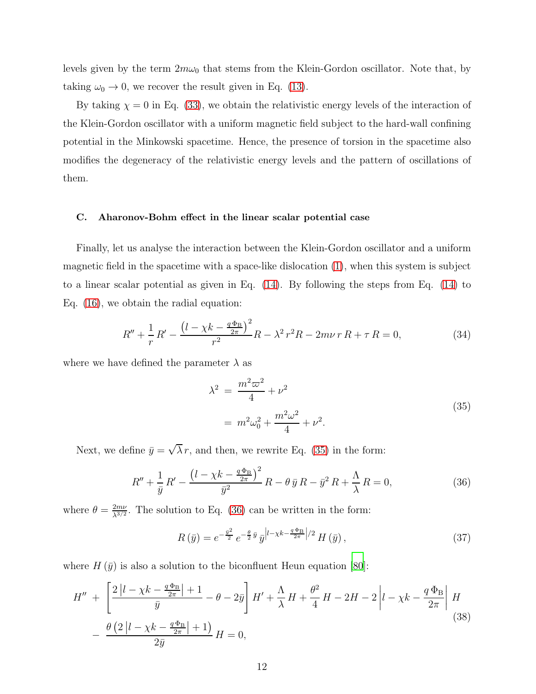levels given by the term  $2m\omega_0$  that stems from the Klein-Gordon oscillator. Note that, by taking  $\omega_0 \to 0$ , we recover the result given in Eq. [\(13\)](#page-5-1).

By taking  $\chi = 0$  in Eq. [\(33\)](#page-10-1), we obtain the relativistic energy levels of the interaction of the Klein-Gordon oscillator with a uniform magnetic field subject to the hard-wall confining potential in the Minkowski spacetime. Hence, the presence of torsion in the spacetime also modifies the degeneracy of the relativistic energy levels and the pattern of oscillations of them.

### C. Aharonov-Bohm effect in the linear scalar potential case

Finally, let us analyse the interaction between the Klein-Gordon oscillator and a uniform magnetic field in the spacetime with a space-like dislocation [\(1\)](#page-1-0), when this system is subject to a linear scalar potential as given in Eq. [\(14\)](#page-6-0). By following the steps from Eq. [\(14\)](#page-6-0) to Eq. [\(16\)](#page-6-1), we obtain the radial equation:

$$
R'' + \frac{1}{r}R' - \frac{\left(l - \chi k - \frac{q\Phi_B}{2\pi}\right)^2}{r^2}R - \lambda^2 r^2 R - 2m\nu\ rR + \tau R = 0,\tag{34}
$$

where we have defined the parameter  $\lambda$  as

<span id="page-11-0"></span>
$$
\lambda^{2} = \frac{m^{2}\omega^{2}}{4} + \nu^{2}
$$
  
=  $m^{2}\omega_{0}^{2} + \frac{m^{2}\omega^{2}}{4} + \nu^{2}$ . (35)

Next, we define  $\bar{y} = \sqrt{\lambda} r$ , and then, we rewrite Eq. [\(35\)](#page-11-0) in the form:

<span id="page-11-1"></span>
$$
R'' + \frac{1}{\bar{y}} R' - \frac{\left(l - \chi k - \frac{q\Phi_B}{2\pi}\right)^2}{\bar{y}^2} R - \theta \bar{y} R - \bar{y}^2 R + \frac{\Lambda}{\lambda} R = 0,
$$
 (36)

where  $\theta = \frac{2m\nu}{\lambda^{3/2}}$  $\frac{2m\nu}{\lambda^{3/2}}$ . The solution to Eq. [\(36\)](#page-11-1) can be written in the form:

$$
R\left(\bar{y}\right) = e^{-\frac{\bar{y}^2}{2}} e^{-\frac{\theta}{2}\bar{y}} \bar{y}^{\left|l-\chi k - \frac{q\Phi_B}{2\pi}\right|/2} H\left(\bar{y}\right),\tag{37}
$$

where  $H(\bar{y})$  is also a solution to the biconfluent Heun equation [\[80](#page-18-4)]:

$$
H'' + \left[\frac{2|l - \chi k - \frac{q\Phi_B}{2\pi}| + 1}{\bar{y}} - \theta - 2\bar{y}\right]H' + \frac{\Lambda}{\lambda}H + \frac{\theta^2}{4}H - 2H - 2\left|l - \chi k - \frac{q\Phi_B}{2\pi}\right|H - \frac{\theta\left(2|l - \chi k - \frac{q\Phi_B}{2\pi}| + 1\right)}{2\bar{y}}H = 0,
$$
\n(38)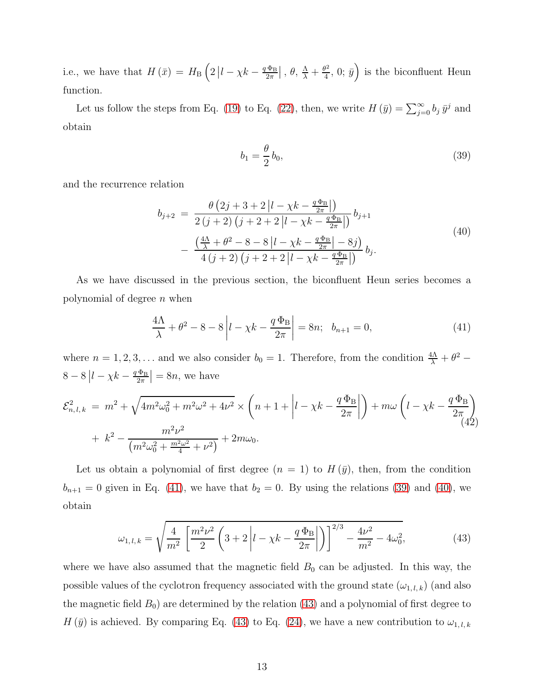i.e., we have that  $H(\bar{x}) = H_{\text{B}}\left(2\left|l - \chi k - \frac{q\,\Phi_{\text{B}}}{2\pi}\right|\right)$  $\frac{\Phi_{\rm B}}{2\pi}$ ,  $\theta$ ,  $\frac{\Lambda}{\lambda} + \frac{\theta^2}{4}$  $(\frac{1}{4}, 0; \bar{y})$  is the biconfluent Heun function.

Let us follow the steps from Eq. [\(19\)](#page-6-3) to Eq. [\(22\)](#page-7-1), then, we write  $H(\bar{y}) = \sum_{j=0}^{\infty} b_j \bar{y}^j$  and obtain

<span id="page-12-1"></span>
$$
b_1 = \frac{\theta}{2} b_0,\tag{39}
$$

and the recurrence relation

<span id="page-12-2"></span>
$$
b_{j+2} = \frac{\theta(2j+3+2|l-\chi k - \frac{q\Phi_{\rm B}}{2\pi}|)}{2(j+2)(j+2+2|l-\chi k - \frac{q\Phi_{\rm B}}{2\pi}|)} b_{j+1}
$$
  
 
$$
-\frac{\left(\frac{4\Lambda}{\lambda} + \theta^2 - 8 - 8|l-\chi k - \frac{q\Phi_{\rm B}}{2\pi}| - 8j\right)}{4(j+2)(j+2+2|l-\chi k - \frac{q\Phi_{\rm B}}{2\pi}|)} b_j.
$$
 (40)

As we have discussed in the previous section, the biconfluent Heun series becomes a polynomial of degree  $n$  when

<span id="page-12-0"></span>
$$
\frac{4\Lambda}{\lambda} + \theta^2 - 8 - 8 \left| l - \chi k - \frac{q \Phi_B}{2\pi} \right| = 8n; \quad b_{n+1} = 0,
$$
\n(41)

where  $n = 1, 2, 3, ...$  and we also consider  $b_0 = 1$ . Therefore, from the condition  $\frac{4\Lambda}{\lambda} + \theta^2$  –  $8-8|l-\chi k-\frac{q\,\Phi_{\rm B}}{2\pi}$  $\left|\frac{\Phi_{\rm B}}{2\pi}\right| = 8n$ , we have

<span id="page-12-4"></span>
$$
\mathcal{E}_{n,l,k}^2 = m^2 + \sqrt{4m^2\omega_0^2 + m^2\omega^2 + 4\nu^2} \times \left(n + 1 + \left|l - \chi k - \frac{q\,\Phi_B}{2\pi}\right|\right) + m\omega \left(l - \chi k - \frac{q\,\Phi_B}{2\pi}\right) + k^2 - \frac{m^2\nu^2}{(m^2\omega_0^2 + \frac{m^2\omega^2}{4} + \nu^2)} + 2m\omega_0.
$$
\n(42)

Let us obtain a polynomial of first degree  $(n = 1)$  to  $H(\bar{y})$ , then, from the condition  $b_{n+1} = 0$  given in Eq. [\(41\)](#page-12-0), we have that  $b_2 = 0$ . By using the relations [\(39\)](#page-12-1) and [\(40\)](#page-12-2), we obtain

<span id="page-12-3"></span>
$$
\omega_{1,l,k} = \sqrt{\frac{4}{m^2} \left[ \frac{m^2 \nu^2}{2} \left( 3 + 2 \left| l - \chi k - \frac{q \Phi_B}{2\pi} \right| \right) \right]^{2/3} - \frac{4\nu^2}{m^2} - 4\omega_0^2},\tag{43}
$$

where we have also assumed that the magnetic field  $B_0$  can be adjusted. In this way, the possible values of the cyclotron frequency associated with the ground state  $(\omega_{1,l,k})$  (and also the magnetic field  $B_0$ ) are determined by the relation [\(43\)](#page-12-3) and a polynomial of first degree to  $H(\bar{y})$  is achieved. By comparing Eq. [\(43\)](#page-12-3) to Eq. [\(24\)](#page-7-3), we have a new contribution to  $\omega_{1,l,k}$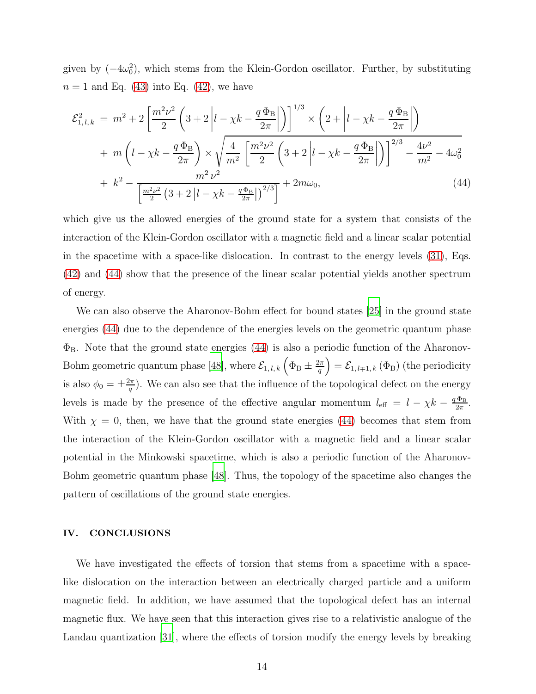given by  $(-4\omega_0^2)$ , which stems from the Klein-Gordon oscillator. Further, by substituting  $n = 1$  and Eq. [\(43\)](#page-12-3) into Eq. [\(42\)](#page-12-4), we have

<span id="page-13-0"></span>
$$
\mathcal{E}_{1,l,k}^{2} = m^{2} + 2\left[\frac{m^{2}\nu^{2}}{2}\left(3+2\left|l-\chi k-\frac{q\,\Phi_{B}}{2\pi}\right|\right)\right]^{1/3} \times \left(2+\left|l-\chi k-\frac{q\,\Phi_{B}}{2\pi}\right|\right) \n+ m\left(l-\chi k-\frac{q\,\Phi_{B}}{2\pi}\right) \times \sqrt{\frac{4}{m^{2}}\left[\frac{m^{2}\nu^{2}}{2}\left(3+2\left|l-\chi k-\frac{q\,\Phi_{B}}{2\pi}\right|\right)\right]^{2/3} - \frac{4\nu^{2}}{m^{2}} - 4\omega_{0}^{2}} \n+ k^{2} - \frac{m^{2}\nu^{2}}{\left[\frac{m^{2}\nu^{2}}{2}\left(3+2\left|l-\chi k-\frac{q\,\Phi_{B}}{2\pi}\right|\right)^{2/3}\right]} + 2m\omega_{0},
$$
\n(44)

which give us the allowed energies of the ground state for a system that consists of the interaction of the Klein-Gordon oscillator with a magnetic field and a linear scalar potential in the spacetime with a space-like dislocation. In contrast to the energy levels [\(31\)](#page-9-2), Eqs. [\(42\)](#page-12-4) and [\(44\)](#page-13-0) show that the presence of the linear scalar potential yields another spectrum of energy.

We can also observe the Aharonov-Bohm effect for bound states [\[25](#page-16-5)] in the ground state energies [\(44\)](#page-13-0) due to the dependence of the energies levels on the geometric quantum phase  $\Phi_{\rm B}$ . Note that the ground state energies [\(44\)](#page-13-0) is also a periodic function of the Aharonov-Bohm geometric quantum phase [\[48\]](#page-17-2), where  $\mathcal{E}_{1,l,k}\left(\Phi_{\text{B}} \pm \frac{2\pi}{q}\right)$  $\left(\frac{2\pi}{q}\right) = \mathcal{E}_{1,\,l\mp1,\,k}\left(\Phi_{\mathrm{B}}\right)$  (the periodicity is also  $\phi_0 = \pm \frac{2\pi}{q}$  $\frac{d\pi}{q}$ ). We can also see that the influence of the topological defect on the energy levels is made by the presence of the effective angular momentum  $l_{\text{eff}} = l - \chi k - \frac{q \Phi_{\text{B}}}{2\pi}$  $\frac{\Phi_{\rm B}}{2\pi}$ . With  $\chi = 0$ , then, we have that the ground state energies [\(44\)](#page-13-0) becomes that stem from the interaction of the Klein-Gordon oscillator with a magnetic field and a linear scalar potential in the Minkowski spacetime, which is also a periodic function of the Aharonov-Bohm geometric quantum phase [\[48\]](#page-17-2). Thus, the topology of the spacetime also changes the pattern of oscillations of the ground state energies.

### IV. CONCLUSIONS

We have investigated the effects of torsion that stems from a spacetime with a spacelike dislocation on the interaction between an electrically charged particle and a uniform magnetic field. In addition, we have assumed that the topological defect has an internal magnetic flux. We have seen that this interaction gives rise to a relativistic analogue of the Landau quantization [\[31](#page-16-8)], where the effects of torsion modify the energy levels by breaking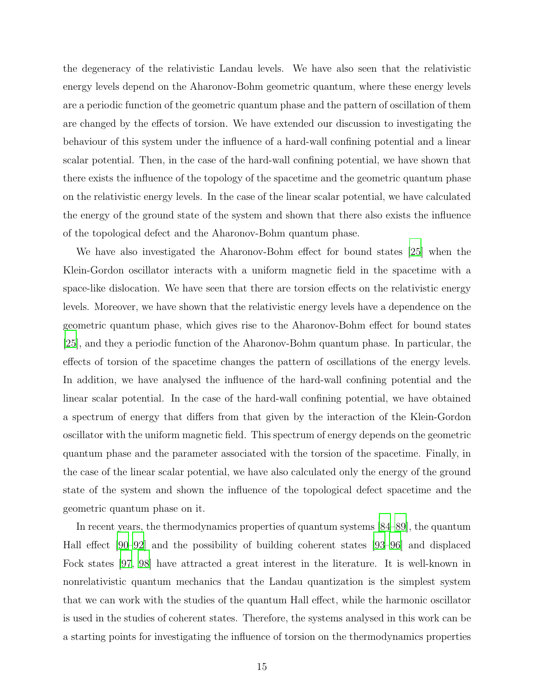the degeneracy of the relativistic Landau levels. We have also seen that the relativistic energy levels depend on the Aharonov-Bohm geometric quantum, where these energy levels are a periodic function of the geometric quantum phase and the pattern of oscillation of them are changed by the effects of torsion. We have extended our discussion to investigating the behaviour of this system under the influence of a hard-wall confining potential and a linear scalar potential. Then, in the case of the hard-wall confining potential, we have shown that there exists the influence of the topology of the spacetime and the geometric quantum phase on the relativistic energy levels. In the case of the linear scalar potential, we have calculated the energy of the ground state of the system and shown that there also exists the influence of the topological defect and the Aharonov-Bohm quantum phase.

We have also investigated the Aharonov-Bohm effect for bound states [\[25\]](#page-16-5) when the Klein-Gordon oscillator interacts with a uniform magnetic field in the spacetime with a space-like dislocation. We have seen that there are torsion effects on the relativistic energy levels. Moreover, we have shown that the relativistic energy levels have a dependence on the geometric quantum phase, which gives rise to the Aharonov-Bohm effect for bound states [\[25\]](#page-16-5), and they a periodic function of the Aharonov-Bohm quantum phase. In particular, the effects of torsion of the spacetime changes the pattern of oscillations of the energy levels. In addition, we have analysed the influence of the hard-wall confining potential and the linear scalar potential. In the case of the hard-wall confining potential, we have obtained a spectrum of energy that differs from that given by the interaction of the Klein-Gordon oscillator with the uniform magnetic field. This spectrum of energy depends on the geometric quantum phase and the parameter associated with the torsion of the spacetime. Finally, in the case of the linear scalar potential, we have also calculated only the energy of the ground state of the system and shown the influence of the topological defect spacetime and the geometric quantum phase on it.

In recent years, the thermodynamics properties of quantum systems [\[84](#page-18-8)[–89\]](#page-18-9), the quantum Hall effect [\[90](#page-18-0)[–92](#page-18-10)] and the possibility of building coherent states [\[93](#page-18-11)[–96\]](#page-18-12) and displaced Fock states [\[97](#page-18-13), [98\]](#page-19-0) have attracted a great interest in the literature. It is well-known in nonrelativistic quantum mechanics that the Landau quantization is the simplest system that we can work with the studies of the quantum Hall effect, while the harmonic oscillator is used in the studies of coherent states. Therefore, the systems analysed in this work can be a starting points for investigating the influence of torsion on the thermodynamics properties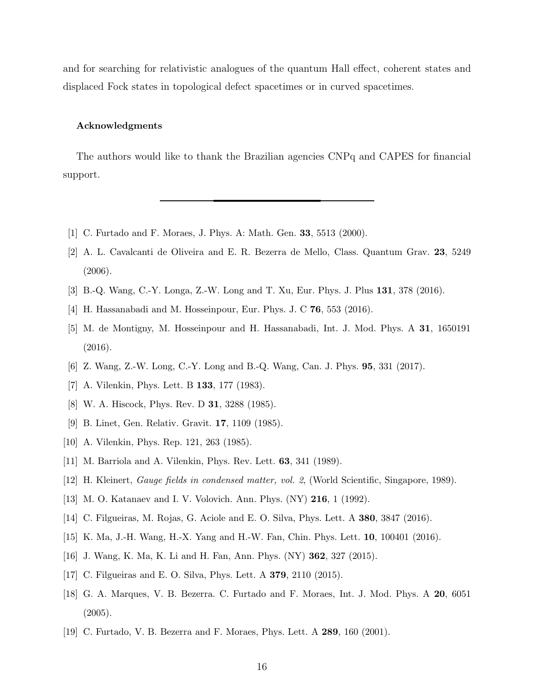and for searching for relativistic analogues of the quantum Hall effect, coherent states and displaced Fock states in topological defect spacetimes or in curved spacetimes.

### Acknowledgments

The authors would like to thank the Brazilian agencies CNPq and CAPES for financial support.

- <span id="page-15-13"></span><span id="page-15-0"></span>[1] C. Furtado and F. Moraes, J. Phys. A: Math. Gen. 33, 5513 (2000).
- [2] A. L. Cavalcanti de Oliveira and E. R. Bezerra de Mello, Class. Quantum Grav. 23, 5249 (2006).
- [3] B.-Q. Wang, C.-Y. Longa, Z.-W. Long and T. Xu, Eur. Phys. J. Plus 131, 378 (2016).
- [4] H. Hassanabadi and M. Hosseinpour, Eur. Phys. J. C 76, 553 (2016).
- [5] M. de Montigny, M. Hosseinpour and H. Hassanabadi, Int. J. Mod. Phys. A 31, 1650191 (2016).
- <span id="page-15-1"></span>[6] Z. Wang, Z.-W. Long, C.-Y. Long and B.-Q. Wang, Can. J. Phys. 95, 331 (2017).
- <span id="page-15-2"></span>[7] A. Vilenkin, Phys. Lett. B 133, 177 (1983).
- [8] W. A. Hiscock, Phys. Rev. D 31, 3288 (1985).
- <span id="page-15-3"></span>[9] B. Linet, Gen. Relativ. Gravit. 17, 1109 (1985).
- <span id="page-15-4"></span>[10] A. Vilenkin, Phys. Rep. 121, 263 (1985).
- <span id="page-15-6"></span><span id="page-15-5"></span>[11] M. Barriola and A. Vilenkin, Phys. Rev. Lett. 63, 341 (1989).
- [12] H. Kleinert, Gauge fields in condensed matter, vol. 2, (World Scientific, Singapore, 1989).
- <span id="page-15-7"></span>[13] M. O. Katanaev and I. V. Volovich. Ann. Phys. (NY) 216, 1 (1992).
- <span id="page-15-8"></span>[14] C. Filgueiras, M. Rojas, G. Aciole and E. O. Silva, Phys. Lett. A 380, 3847 (2016).
- [15] K. Ma, J.-H. Wang, H.-X. Yang and H.-W. Fan, Chin. Phys. Lett. 10, 100401 (2016).
- <span id="page-15-9"></span>[16] J. Wang, K. Ma, K. Li and H. Fan, Ann. Phys. (NY) 362, 327 (2015).
- <span id="page-15-10"></span>[17] C. Filgueiras and E. O. Silva, Phys. Lett. A 379, 2110 (2015).
- <span id="page-15-11"></span>[18] G. A. Marques, V. B. Bezerra. C. Furtado and F. Moraes, Int. J. Mod. Phys. A 20, 6051  $(2005).$
- <span id="page-15-12"></span>[19] C. Furtado, V. B. Bezerra and F. Moraes, Phys. Lett. A 289, 160 (2001).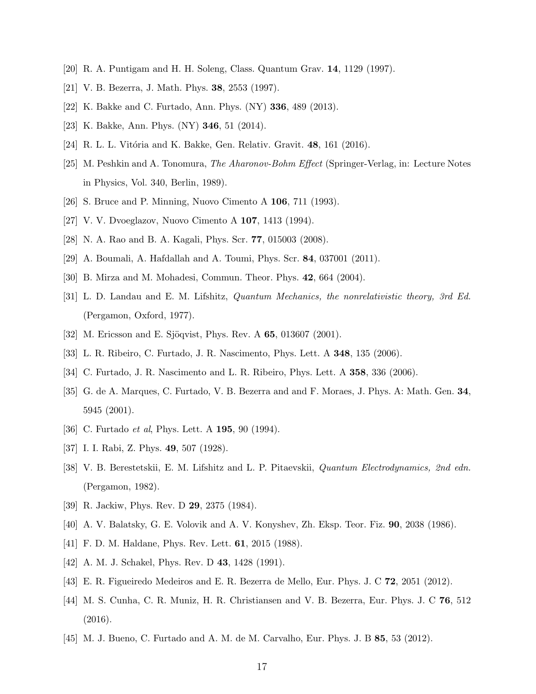- <span id="page-16-1"></span><span id="page-16-0"></span>[20] R. A. Puntigam and H. H. Soleng, Class. Quantum Grav. 14, 1129 (1997).
- <span id="page-16-2"></span>[21] V. B. Bezerra, J. Math. Phys. 38, 2553 (1997).
- <span id="page-16-3"></span>[22] K. Bakke and C. Furtado, Ann. Phys. (NY) 336, 489 (2013).
- <span id="page-16-4"></span>[23] K. Bakke, Ann. Phys. (NY) 346, 51 (2014).
- <span id="page-16-5"></span>[24] R. L. L. Vitória and K. Bakke, Gen. Relativ. Gravit.  $48$ , 161 (2016).
- [25] M. Peshkin and A. Tonomura, The Aharonov-Bohm Effect (Springer-Verlag, in: Lecture Notes in Physics, Vol. 340, Berlin, 1989).
- <span id="page-16-6"></span>[26] S. Bruce and P. Minning, Nuovo Cimento A 106, 711 (1993).
- [27] V. V. Dvoeglazov, Nuovo Cimento A 107, 1413 (1994).
- [28] N. A. Rao and B. A. Kagali, Phys. Scr. 77, 015003 (2008).
- <span id="page-16-7"></span>[29] A. Boumali, A. Hafdallah and A. Toumi, Phys. Scr. 84, 037001 (2011).
- <span id="page-16-8"></span>[30] B. Mirza and M. Mohadesi, Commun. Theor. Phys. 42, 664 (2004).
- [31] L. D. Landau and E. M. Lifshitz, Quantum Mechanics, the nonrelativistic theory, 3rd Ed. (Pergamon, Oxford, 1977).
- <span id="page-16-9"></span>[32] M. Ericsson and E. Sjöqvist, Phys. Rev. A 65, 013607 (2001).
- <span id="page-16-10"></span>[33] L. R. Ribeiro, C. Furtado, J. R. Nascimento, Phys. Lett. A 348, 135 (2006).
- [34] C. Furtado, J. R. Nascimento and L. R. Ribeiro, Phys. Lett. A 358, 336 (2006).
- <span id="page-16-11"></span>[35] G. de A. Marques, C. Furtado, V. B. Bezerra and and F. Moraes, J. Phys. A: Math. Gen. 34, 5945 (2001).
- <span id="page-16-13"></span><span id="page-16-12"></span>[36] C. Furtado *et al*, Phys. Lett. A **195**, 90 (1994).
- [37] I. I. Rabi, Z. Phys. 49, 507 (1928).
- [38] V. B. Berestetskii, E. M. Lifshitz and L. P. Pitaevskii, Quantum Electrodynamics, 2nd edn. (Pergamon, 1982).
- [39] R. Jackiw, Phys. Rev. D 29, 2375 (1984).
- [40] A. V. Balatsky, G. E. Volovik and A. V. Konyshev, Zh. Eksp. Teor. Fiz. 90, 2038 (1986).
- [41] F. D. M. Haldane, Phys. Rev. Lett. 61, 2015 (1988).
- <span id="page-16-14"></span>[42] A. M. J. Schakel, Phys. Rev. D 43, 1428 (1991).
- <span id="page-16-15"></span>[43] E. R. Figueiredo Medeiros and E. R. Bezerra de Mello, Eur. Phys. J. C 72, 2051 (2012).
- <span id="page-16-16"></span>[44] M. S. Cunha, C. R. Muniz, H. R. Christiansen and V. B. Bezerra, Eur. Phys. J. C 76, 512 (2016).
- <span id="page-16-17"></span>[45] M. J. Bueno, C. Furtado and A. M. de M. Carvalho, Eur. Phys. J. B 85, 53 (2012).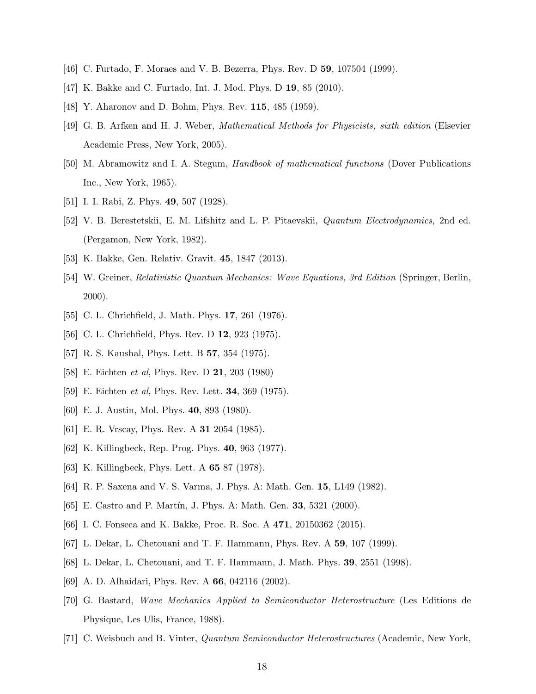- <span id="page-17-1"></span><span id="page-17-0"></span>[46] C. Furtado, F. Moraes and V. B. Bezerra, Phys. Rev. D 59, 107504 (1999).
- <span id="page-17-2"></span>[47] K. Bakke and C. Furtado, Int. J. Mod. Phys. D 19, 85 (2010).
- <span id="page-17-3"></span>[48] Y. Aharonov and D. Bohm, Phys. Rev. **115**, 485 (1959).
- [49] G. B. Arfken and H. J. Weber, Mathematical Methods for Physicists, sixth edition (Elsevier Academic Press, New York, 2005).
- <span id="page-17-4"></span>[50] M. Abramowitz and I. A. Stegum, Handbook of mathematical functions (Dover Publications Inc., New York, 1965).
- <span id="page-17-6"></span><span id="page-17-5"></span>[51] I. I. Rabi, Z. Phys. **49**, 507 (1928).
- [52] V. B. Berestetskii, E. M. Lifshitz and L. P. Pitaevskii, Quantum Electrodynamics, 2nd ed. (Pergamon, New York, 1982).
- <span id="page-17-8"></span><span id="page-17-7"></span>[53] K. Bakke, Gen. Relativ. Gravit. 45, 1847 (2013).
- [54] W. Greiner, Relativistic Quantum Mechanics: Wave Equations, 3rd Edition (Springer, Berlin, 2000).
- <span id="page-17-9"></span>[55] C. L. Chrichfield, J. Math. Phys. **17**, 261 (1976).
- [56] C. L. Chrichfield, Phys. Rev. D **12**, 923 (1975).
- [57] R. S. Kaushal, Phys. Lett. B 57, 354 (1975).
- [58] E. Eichten *et al*, Phys. Rev. D **21**, 203 (1980)
- <span id="page-17-10"></span>[59] E. Eichten *et al*, Phys. Rev. Lett. **34**, 369 (1975).
- <span id="page-17-11"></span>[60] E. J. Austin, Mol. Phys. 40, 893 (1980).
- [61] E. R. Vrscay, Phys. Rev. A 31 2054 (1985).
- [62] K. Killingbeck, Rep. Prog. Phys. 40, 963 (1977).
- [63] K. Killingbeck, Phys. Lett. A **65** 87 (1978).
- [64] R. P. Saxena and V. S. Varma, J. Phys. A: Math. Gen. 15, L149 (1982).
- [65] E. Castro and P. Martín, J. Phys. A: Math. Gen. 33, 5321 (2000).
- <span id="page-17-12"></span>[66] I. C. Fonseca and K. Bakke, Proc. R. Soc. A 471, 20150362 (2015).
- <span id="page-17-13"></span>[67] L. Dekar, L. Chetouani and T. F. Hammann, Phys. Rev. A 59, 107 (1999).
- [68] L. Dekar, L. Chetouani, and T. F. Hammann, J. Math. Phys. 39, 2551 (1998).
- [69] A. D. Alhaidari, Phys. Rev. A 66, 042116 (2002).
- [70] G. Bastard, Wave Mechanics Applied to Semiconductor Heterostructure (Les Editions de Physique, Les Ulis, France, 1988).
- [71] C. Weisbuch and B. Vinter, Quantum Semiconductor Heterostructures (Academic, New York,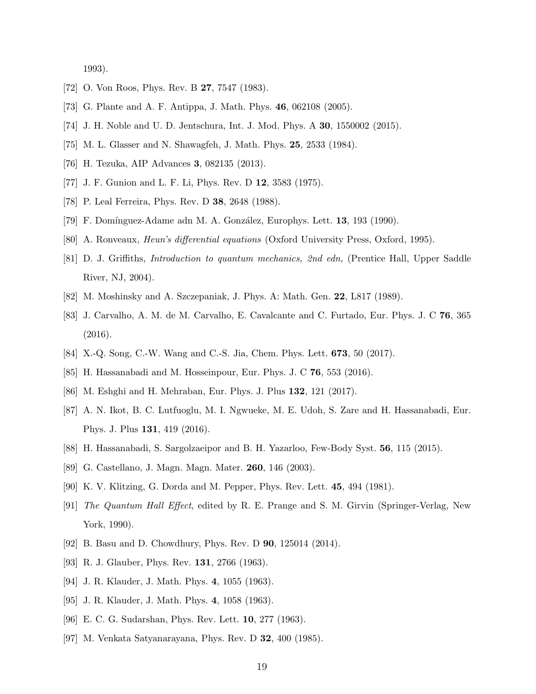1993).

- <span id="page-18-2"></span><span id="page-18-1"></span>[72] O. Von Roos, Phys. Rev. B **27**, 7547 (1983).
- [73] G. Plante and A. F. Antippa, J. Math. Phys. 46, 062108 (2005).
- [74] J. H. Noble and U. D. Jentschura, Int. J. Mod. Phys. A 30, 1550002 (2015).
- [75] M. L. Glasser and N. Shawagfeh, J. Math. Phys. 25, 2533 (1984).
- [76] H. Tezuka, AIP Advances 3, 082135 (2013).
- [77] J. F. Gunion and L. F. Li, Phys. Rev. D 12, 3583 (1975).
- <span id="page-18-3"></span>[78] P. Leal Ferreira, Phys. Rev. D 38, 2648 (1988).
- <span id="page-18-4"></span>[79] F. Domínguez-Adame adn M. A. González, Europhys. Lett. 13, 193 (1990).
- <span id="page-18-5"></span>[80] A. Ronveaux, Heun's differential equations (Oxford University Press, Oxford, 1995).
- [81] D. J. Griffiths, Introduction to quantum mechanics, 2nd edn, (Prentice Hall, Upper Saddle River, NJ, 2004).
- <span id="page-18-7"></span><span id="page-18-6"></span>[82] M. Moshinsky and A. Szczepaniak, J. Phys. A: Math. Gen. 22, L817 (1989).
- [83] J. Carvalho, A. M. de M. Carvalho, E. Cavalcante and C. Furtado, Eur. Phys. J. C 76, 365 (2016).
- <span id="page-18-8"></span>[84] X.-Q. Song, C.-W. Wang and C.-S. Jia, Chem. Phys. Lett. 673, 50 (2017).
- [85] H. Hassanabadi and M. Hosseinpour, Eur. Phys. J. C 76, 553 (2016).
- [86] M. Eshghi and H. Mehraban, Eur. Phys. J. Plus 132, 121 (2017).
- [87] A. N. Ikot, B. C. Lutfuoglu, M. I. Ngwueke, M. E. Udoh, S. Zare and H. Hassanabadi, Eur. Phys. J. Plus 131, 419 (2016).
- [88] H. Hassanabadi, S. Sargolzaeipor and B. H. Yazarloo, Few-Body Syst. 56, 115 (2015).
- <span id="page-18-9"></span>[89] G. Castellano, J. Magn. Magn. Mater. 260, 146 (2003).
- <span id="page-18-0"></span>[90] K. V. Klitzing, G. Dorda and M. Pepper, Phys. Rev. Lett. 45, 494 (1981).
- [91] The Quantum Hall Effect, edited by R. E. Prange and S. M. Girvin (Springer-Verlag, New York, 1990).
- <span id="page-18-10"></span>[92] B. Basu and D. Chowdhury, Phys. Rev. D 90, 125014 (2014).
- <span id="page-18-11"></span>[93] R. J. Glauber, Phys. Rev. **131**, 2766 (1963).
- [94] J. R. Klauder, J. Math. Phys. 4, 1055 (1963).
- [95] J. R. Klauder, J. Math. Phys. 4, 1058 (1963).
- <span id="page-18-12"></span>[96] E. C. G. Sudarshan, Phys. Rev. Lett. 10, 277 (1963).
- <span id="page-18-13"></span>[97] M. Venkata Satyanarayana, Phys. Rev. D 32, 400 (1985).